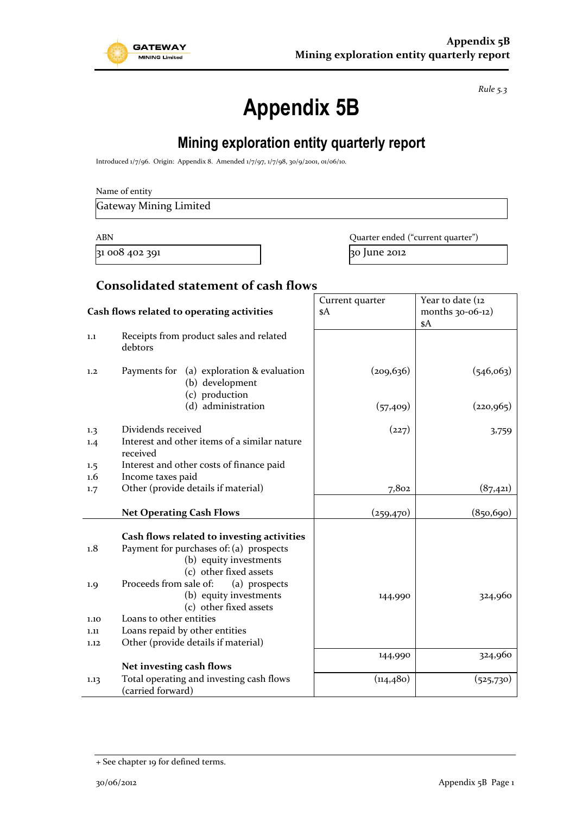

*Rule 5.3*

# **Appendix 5B**

# **Mining exploration entity quarterly report**

Introduced 1/7/96. Origin: Appendix 8. Amended 1/7/97, 1/7/98, 30/9/2001, 01/06/10.

| Name of entity |
|----------------|
|----------------|

Gateway Mining Limited

 $\frac{1}{31}$  008 402 391  $\frac{1}{30}$  June 2012

ABN **ABN** Quarter ended ("current quarter")

#### **Consolidated statement of cash flows**

|                                            |                                                                                                                                                                                                                                                                                                                                              | Current quarter | Year to date (12 |
|--------------------------------------------|----------------------------------------------------------------------------------------------------------------------------------------------------------------------------------------------------------------------------------------------------------------------------------------------------------------------------------------------|-----------------|------------------|
| Cash flows related to operating activities |                                                                                                                                                                                                                                                                                                                                              | \$A             | months 30-06-12) |
|                                            |                                                                                                                                                                                                                                                                                                                                              |                 | \$A              |
| 1.1                                        | Receipts from product sales and related<br>debtors                                                                                                                                                                                                                                                                                           |                 |                  |
| 1.2                                        | Payments for (a) exploration & evaluation<br>(b) development<br>(c) production                                                                                                                                                                                                                                                               | (209, 636)      | (546,063)        |
|                                            | (d) administration                                                                                                                                                                                                                                                                                                                           | (57, 409)       | (220, 965)       |
| 1.3                                        | Dividends received                                                                                                                                                                                                                                                                                                                           | (227)           | 3,759            |
| 1.4                                        | Interest and other items of a similar nature<br>received                                                                                                                                                                                                                                                                                     |                 |                  |
| 1.5                                        | Interest and other costs of finance paid                                                                                                                                                                                                                                                                                                     |                 |                  |
| $1.6\,$                                    | Income taxes paid                                                                                                                                                                                                                                                                                                                            |                 |                  |
| 1.7                                        | Other (provide details if material)                                                                                                                                                                                                                                                                                                          | 7,802           | (87, 421)        |
|                                            | <b>Net Operating Cash Flows</b>                                                                                                                                                                                                                                                                                                              | (259, 470)      | (850, 690)       |
| 1.8<br>1.9<br>1.10<br>1.11<br>1.12         | Cash flows related to investing activities<br>Payment for purchases of: (a) prospects<br>(b) equity investments<br>(c) other fixed assets<br>Proceeds from sale of:<br>(a) prospects<br>(b) equity investments<br>(c) other fixed assets<br>Loans to other entities<br>Loans repaid by other entities<br>Other (provide details if material) | 144,990         | 324,960          |
|                                            |                                                                                                                                                                                                                                                                                                                                              | 144,990         | 324,960          |
|                                            | Net investing cash flows                                                                                                                                                                                                                                                                                                                     |                 |                  |
| 1.13                                       | Total operating and investing cash flows<br>(carried forward)                                                                                                                                                                                                                                                                                | (114, 480)      | (525,730)        |

<sup>+</sup> See chapter 19 for defined terms.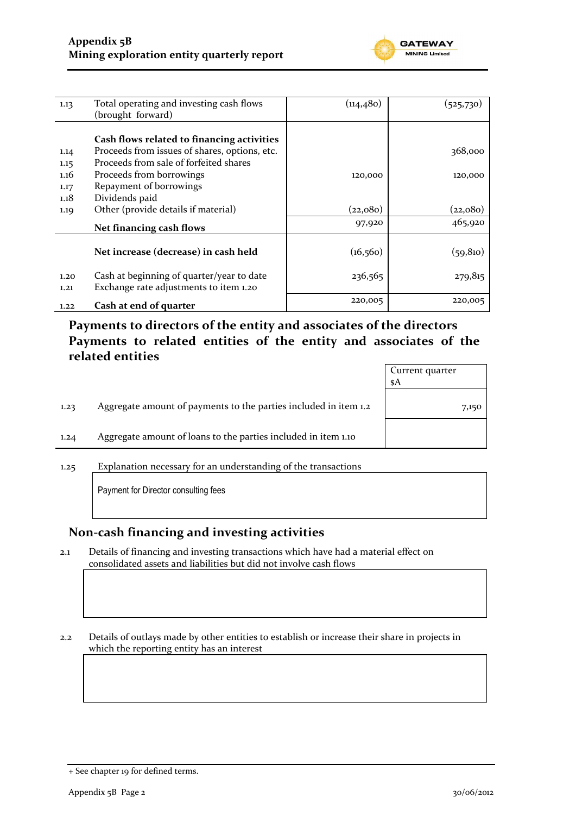

| 1.13                 | Total operating and investing cash flows<br>(brought forward)                                                                                                     | (114,480) | (525,730)          |
|----------------------|-------------------------------------------------------------------------------------------------------------------------------------------------------------------|-----------|--------------------|
| 1.14<br>1.15<br>1.16 | Cash flows related to financing activities<br>Proceeds from issues of shares, options, etc.<br>Proceeds from sale of forfeited shares<br>Proceeds from borrowings | 120,000   | 368,000<br>120,000 |
| 1.17<br>1.18<br>1.19 | Repayment of borrowings<br>Dividends paid<br>Other (provide details if material)                                                                                  | (22,080)  | (22,080)           |
|                      | Net financing cash flows                                                                                                                                          | 97,920    | 465,920            |
|                      | Net increase (decrease) in cash held                                                                                                                              | (16, 560) | (59, 810)          |
| 1.20<br>1,21         | Cash at beginning of quarter/year to date<br>Exchange rate adjustments to item 1.20                                                                               | 236,565   | 279,815            |
| 1.22                 | Cash at end of quarter                                                                                                                                            | 220,005   | 220,005            |

**Payments to directors of the entity and associates of the directors Payments to related entities of the entity and associates of the related entities**

|      |                                                                  | Current quarter<br>\$A |
|------|------------------------------------------------------------------|------------------------|
| 1.23 | Aggregate amount of payments to the parties included in item 1.2 | 7,150                  |
| 1.24 | Aggregate amount of loans to the parties included in item 1.10   |                        |
|      |                                                                  |                        |

1.25 Explanation necessary for an understanding of the transactions

Payment for Director consulting fees

#### **Non-cash financing and investing activities**

2.1 Details of financing and investing transactions which have had a material effect on consolidated assets and liabilities but did not involve cash flows

2.2 Details of outlays made by other entities to establish or increase their share in projects in which the reporting entity has an interest

<sup>+</sup> See chapter 19 for defined terms.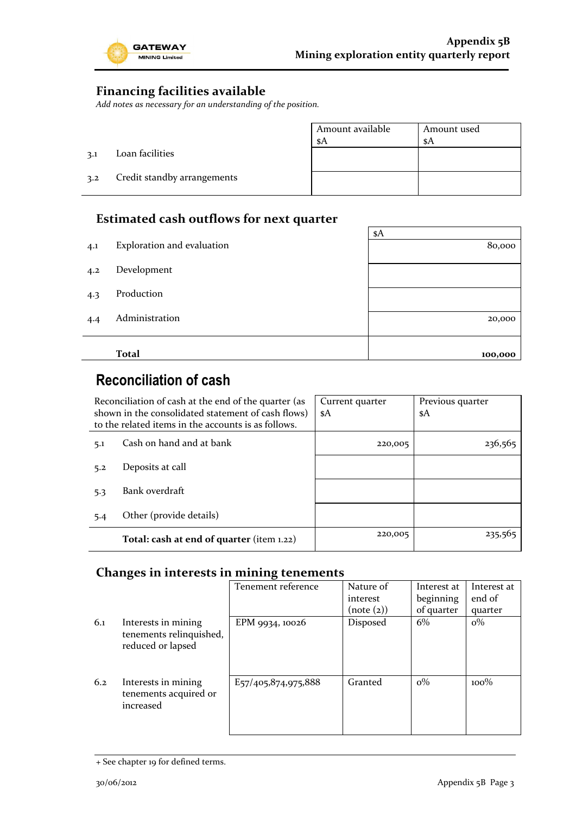

### **Financing facilities available**

*Add notes as necessary for an understanding of the position.*

|     |                             | Amount available<br>\$A | Amount used<br>-sA |
|-----|-----------------------------|-------------------------|--------------------|
| 3.1 | Loan facilities             |                         |                    |
| 3.2 | Credit standby arrangements |                         |                    |

### **Estimated cash outflows for next quarter**

|     |                            | \$A     |  |  |
|-----|----------------------------|---------|--|--|
| 4.1 | Exploration and evaluation | 80,000  |  |  |
|     |                            |         |  |  |
| 4.2 | Development                |         |  |  |
|     |                            |         |  |  |
| 4.3 | Production                 |         |  |  |
|     | Administration             |         |  |  |
| 4.4 |                            | 20,000  |  |  |
|     |                            |         |  |  |
|     | <b>Total</b>               | 100,000 |  |  |

# **Reconciliation of cash**

| Reconciliation of cash at the end of the quarter (as<br>shown in the consolidated statement of cash flows)<br>to the related items in the accounts is as follows. |                                           | Current quarter<br>\$A | Previous quarter<br>\$A |
|-------------------------------------------------------------------------------------------------------------------------------------------------------------------|-------------------------------------------|------------------------|-------------------------|
| 5.1                                                                                                                                                               | Cash on hand and at bank                  | 220,005                | 236,565                 |
| 5.2                                                                                                                                                               | Deposits at call                          |                        |                         |
| 5.3                                                                                                                                                               | Bank overdraft                            |                        |                         |
| 5.4                                                                                                                                                               | Other (provide details)                   |                        |                         |
|                                                                                                                                                                   | Total: cash at end of quarter (item 1.22) | 220,005                | 235,565                 |

### **Changes in interests in mining tenements**

|     |                                                                     | Tenement reference                                         | Nature of  | Interest at | Interest at |
|-----|---------------------------------------------------------------------|------------------------------------------------------------|------------|-------------|-------------|
|     |                                                                     |                                                            | interest   | beginning   | end of      |
|     |                                                                     |                                                            | (note (2)) | of quarter  | quarter     |
| 6.1 | Interests in mining<br>tenements relinquished,<br>reduced or lapsed | EPM 9934, 10026                                            | Disposed   | 6%          | $o\%$       |
| 6.2 | Interests in mining<br>tenements acquired or<br>increased           | E <sub>57</sub> / <sub>405</sub> ,8 <sub>74</sub> ,975,888 | Granted    | $\rm o\%$   | $100\%$     |

<sup>+</sup> See chapter 19 for defined terms.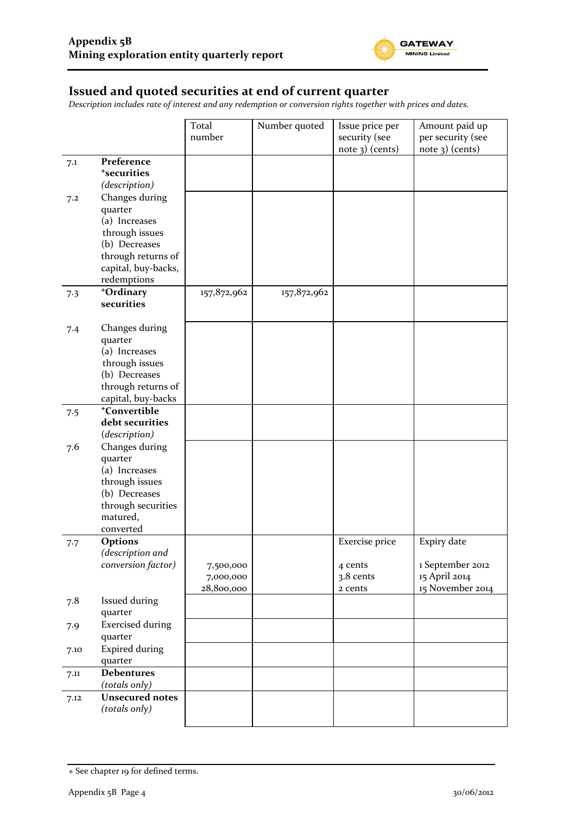

#### **Issued and quoted securities at end of current quarter**

*Description includes rate of interest and any redemption or conversion rights together with prices and dates.*

|      |                                        | Total                  | Number quoted | Issue price per      | Amount paid up                    |
|------|----------------------------------------|------------------------|---------------|----------------------|-----------------------------------|
|      |                                        | number                 |               | security (see        | per security (see                 |
|      |                                        |                        |               | $note$ 3) (cents)    | note 3) (cents)                   |
| 7.1  | Preference                             |                        |               |                      |                                   |
|      | <sup>+</sup> securities                |                        |               |                      |                                   |
|      | (description)                          |                        |               |                      |                                   |
| 7.2  | Changes during                         |                        |               |                      |                                   |
|      | quarter                                |                        |               |                      |                                   |
|      | (a) Increases                          |                        |               |                      |                                   |
|      | through issues                         |                        |               |                      |                                   |
|      | (b) Decreases                          |                        |               |                      |                                   |
|      | through returns of                     |                        |               |                      |                                   |
|      | capital, buy-backs,                    |                        |               |                      |                                   |
|      | redemptions                            |                        |               |                      |                                   |
| 7.3  | +Ordinary                              | 157,872,962            | 157,872,962   |                      |                                   |
|      | securities                             |                        |               |                      |                                   |
|      |                                        |                        |               |                      |                                   |
| 7.4  | Changes during                         |                        |               |                      |                                   |
|      | quarter                                |                        |               |                      |                                   |
|      | (a) Increases                          |                        |               |                      |                                   |
|      | through issues                         |                        |               |                      |                                   |
|      | (b) Decreases                          |                        |               |                      |                                   |
|      | through returns of                     |                        |               |                      |                                   |
|      | capital, buy-backs                     |                        |               |                      |                                   |
| 7.5  | <sup>+</sup> Convertible               |                        |               |                      |                                   |
|      | debt securities                        |                        |               |                      |                                   |
|      | (description)                          |                        |               |                      |                                   |
| 7.6  | Changes during                         |                        |               |                      |                                   |
|      | quarter                                |                        |               |                      |                                   |
|      | (a) Increases                          |                        |               |                      |                                   |
|      | through issues                         |                        |               |                      |                                   |
|      | (b) Decreases                          |                        |               |                      |                                   |
|      | through securities                     |                        |               |                      |                                   |
|      | matured,                               |                        |               |                      |                                   |
|      | converted                              |                        |               |                      |                                   |
| 7.7  | <b>Options</b>                         |                        |               | Exercise price       | Expiry date                       |
|      | (description and<br>conversion factor) |                        |               |                      |                                   |
|      |                                        | 7,500,000<br>7,000,000 |               | 4 cents<br>3.8 cents | 1 September 2012<br>15 April 2014 |
|      |                                        | 28,800,000             |               | 2 cents              | 15 November 2014                  |
|      |                                        |                        |               |                      |                                   |
| 7.8  | Issued during                          |                        |               |                      |                                   |
|      | quarter<br><b>Exercised during</b>     |                        |               |                      |                                   |
| 7.9  |                                        |                        |               |                      |                                   |
|      | quarter                                |                        |               |                      |                                   |
| 7.10 | <b>Expired during</b>                  |                        |               |                      |                                   |
|      | quarter                                |                        |               |                      |                                   |
| 7.11 | <b>Debentures</b>                      |                        |               |                      |                                   |
|      | (totals only)                          |                        |               |                      |                                   |
| 7.12 | <b>Unsecured notes</b>                 |                        |               |                      |                                   |
|      | (totals only)                          |                        |               |                      |                                   |
|      |                                        |                        |               |                      |                                   |

<sup>+</sup> See chapter 19 for defined terms.